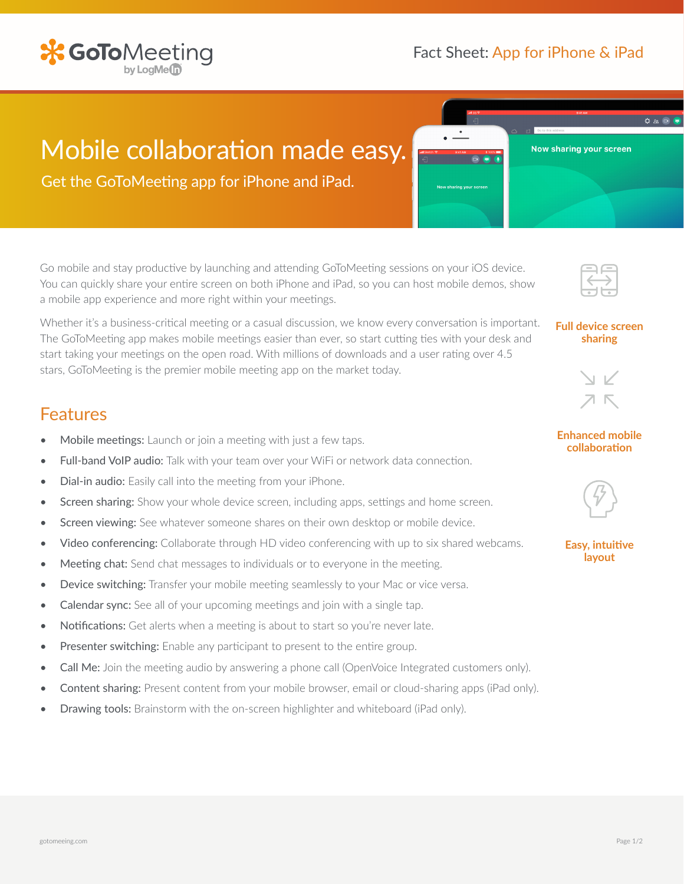

# **X GoTo**Meeting

## Mobile collaboration made easy.

Get the GoToMeeting app for iPhone and iPad.

Go mobile and stay productive by launching and attending GoToMeeting sessions on your iOS device. You can quickly share your entire screen on both iPhone and iPad, so you can host mobile demos, show a mobile app experience and more right within your meetings.

Whether it's a business-critical meeting or a casual discussion, we know every conversation is important. The GoToMeeting app makes mobile meetings easier than ever, so start cutting ties with your desk and start taking your meetings on the open road. With millions of downloads and a user rating over 4.5 stars, GoToMeeting is the premier mobile meeting app on the market today.

### Features

- Mobile meetings: Launch or join a meeting with just a few taps.
- Full-band VoIP audio: Talk with your team over your WiFi or network data connection.
- Dial-in audio: Easily call into the meeting from your iPhone.
- Screen sharing: Show your whole device screen, including apps, settings and home screen.
- Screen viewing: See whatever someone shares on their own desktop or mobile device.
- Video conferencing: Collaborate through HD video conferencing with up to six shared webcams.
- Meeting chat: Send chat messages to individuals or to everyone in the meeting.
- Device switching: Transfer your mobile meeting seamlessly to your Mac or vice versa.
- Calendar sync: See all of your upcoming meetings and join with a single tap.
- Notifications: Get alerts when a meeting is about to start so you're never late.
- Presenter switching: Enable any participant to present to the entire group.
- Call Me: Join the meeting audio by answering a phone call (OpenVoice Integrated customers only).
- Content sharing: Present content from your mobile browser, email or cloud-sharing apps (iPad only).
- Drawing tools: Brainstorm with the on-screen highlighter and whiteboard (iPad only).



Now sharing your screen

0000

### **Full device screen sharing**



### **Enhanced mobile collaboration**



#### **Easy, intuitive layout**